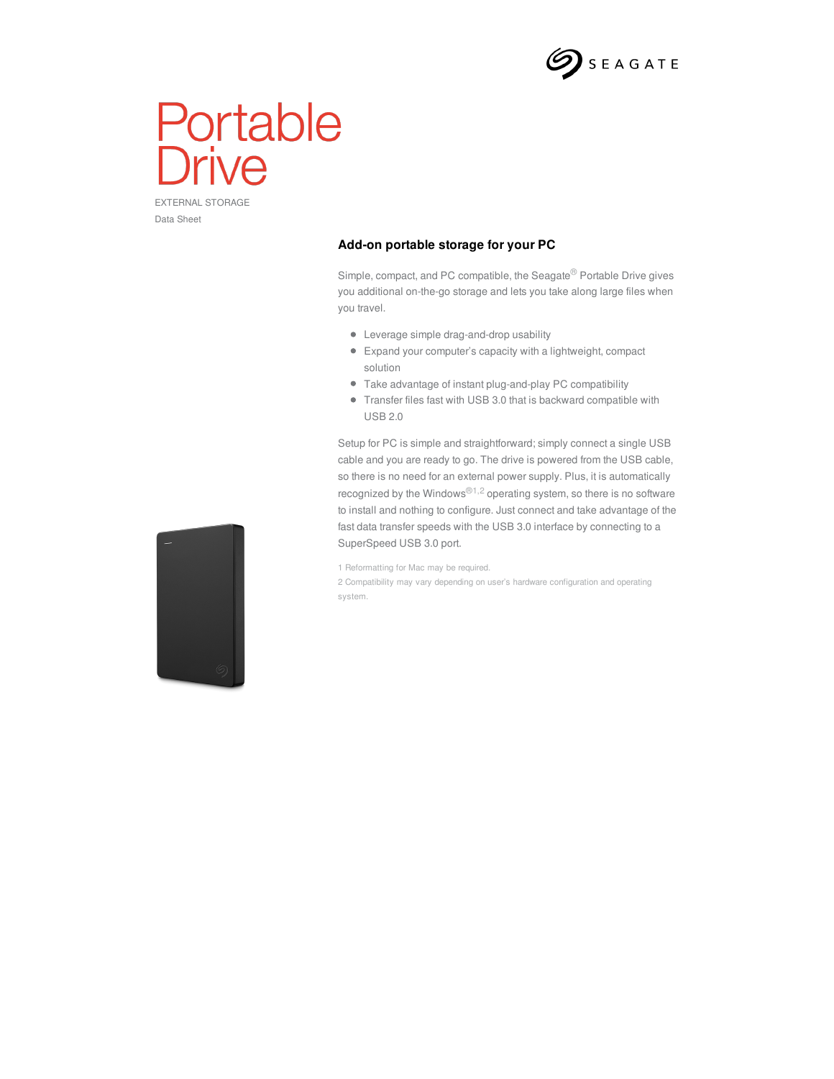

## Portable rive

EXTERNAL STORAGE Data Sheet

## **Add-on portable storage for your PC**

Simple, compact, and PC compatible, the Seagate® Portable Drive gives you additional on-the-go storage and lets you take along large files when you travel.

- Leverage simple drag-and-drop usability
- Expand your computer's capacity with a lightweight, compact solution
- Take advantage of instant plug-and-play PC compatibility
- Transfer files fast with USB 3.0 that is backward compatible with USB 2.0

Setup for PC is simple and straightforward; simply connect a single USB cable and you are ready to go. The drive is powered from the USB cable, so there is no need for an external power supply. Plus, it is automatically recognized by the Windows®<sup>1,2</sup> operating system, so there is no software to install and nothing to configure. Just connect and take advantage of the fast data transfer speeds with the USB 3.0 interface by connecting to a SuperSpeed USB 3.0 port.

1 Reformatting for Mac may be required.

2 Compatibility may vary depending on user's hardware configuration and operating system.